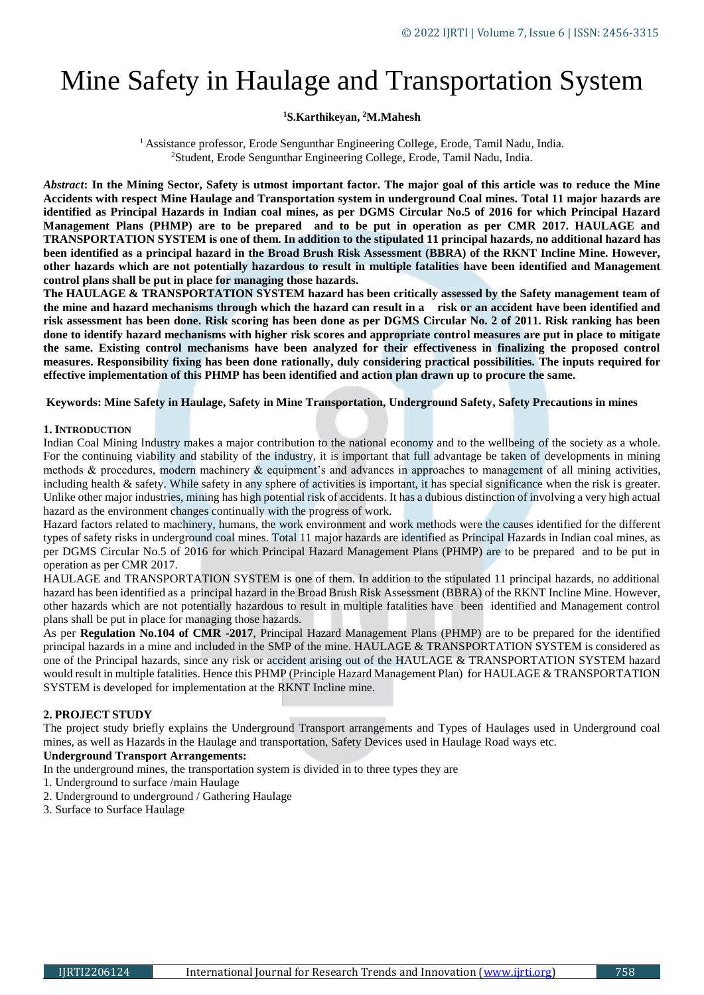# Mine Safety in Haulage and Transportation System

# **<sup>1</sup>S.Karthikeyan, <sup>2</sup>M.Mahesh**

<sup>1</sup> Assistance professor, Erode Sengunthar Engineering College, Erode, Tamil Nadu, India. <sup>2</sup>Student, Erode Sengunthar Engineering College, Erode, Tamil Nadu, India.

*Abstract***: In the Mining Sector, Safety is utmost important factor. The major goal of this article was to reduce the Mine Accidents with respect Mine Haulage and Transportation system in underground Coal mines. Total 11 major hazards are identified as Principal Hazards in Indian coal mines, as per DGMS Circular No.5 of 2016 for which Principal Hazard Management Plans (PHMP) are to be prepared and to be put in operation as per CMR 2017. HAULAGE and TRANSPORTATION SYSTEM is one of them. In addition to the stipulated 11 principal hazards, no additional hazard has been identified as a principal hazard in the Broad Brush Risk Assessment (BBRA) of the RKNT Incline Mine. However, other hazards which are not potentially hazardous to result in multiple fatalities have been identified and Management control plans shall be put in place for managing those hazards.**

**The HAULAGE & TRANSPORTATION SYSTEM hazard has been critically assessed by the Safety management team of the mine and hazard mechanisms through which the hazard can result in a risk or an accident have been identified and risk assessment has been done. Risk scoring has been done as per DGMS Circular No. 2 of 2011. Risk ranking has been done to identify hazard mechanisms with higher risk scores and appropriate control measures are put in place to mitigate the same. Existing control mechanisms have been analyzed for their effectiveness in finalizing the proposed control measures. Responsibility fixing has been done rationally, duly considering practical possibilities. The inputs required for effective implementation of this PHMP has been identified and action plan drawn up to procure the same.**

## **Keywords: Mine Safety in Haulage, Safety in Mine Transportation, Underground Safety, Safety Precautions in mines**

#### **1. INTRODUCTION**

Indian Coal Mining Industry makes a major contribution to the national economy and to the wellbeing of the society as a whole. For the continuing viability and stability of the industry, it is important that full advantage be taken of developments in mining methods  $\&$  procedures, modern machinery  $\&$  equipment's and advances in approaches to management of all mining activities, including health & safety. While safety in any sphere of activities is important, it has special significance when the risk is greater. Unlike other major industries, mining has high potential risk of accidents. It has a dubious distinction of involving a very high actual hazard as the environment changes continually with the progress of work.

Hazard factors related to machinery, humans, the work environment and work methods were the causes identified for the different types of safety risks in underground coal mines. Total 11 major hazards are identified as Principal Hazards in Indian coal mines, as per DGMS Circular No.5 of 2016 for which Principal Hazard Management Plans (PHMP) are to be prepared and to be put in operation as per CMR 2017.

HAULAGE and TRANSPORTATION SYSTEM is one of them. In addition to the stipulated 11 principal hazards, no additional hazard has been identified as a principal hazard in the Broad Brush Risk Assessment (BBRA) of the RKNT Incline Mine. However, other hazards which are not potentially hazardous to result in multiple fatalities have been identified and Management control plans shall be put in place for managing those hazards.

As per **Regulation No.104 of CMR -2017**, Principal Hazard Management Plans (PHMP) are to be prepared for the identified principal hazards in a mine and included in the SMP of the mine. HAULAGE & TRANSPORTATION SYSTEM is considered as one of the Principal hazards, since any risk or accident arising out of the HAULAGE & TRANSPORTATION SYSTEM hazard would result in multiple fatalities. Hence this PHMP (Principle Hazard Management Plan) for HAULAGE & TRANSPORTATION SYSTEM is developed for implementation at the RKNT Incline mine.

# **2. PROJECT STUDY**

The project study briefly explains the Underground Transport arrangements and Types of Haulages used in Underground coal mines, as well as Hazards in the Haulage and transportation, Safety Devices used in Haulage Road ways etc.

## **Underground Transport Arrangements:**

- In the underground mines, the transportation system is divided in to three types they are
- 1. Underground to surface /main Haulage
- 2. Underground to underground / Gathering Haulage
- 3. Surface to Surface Haulage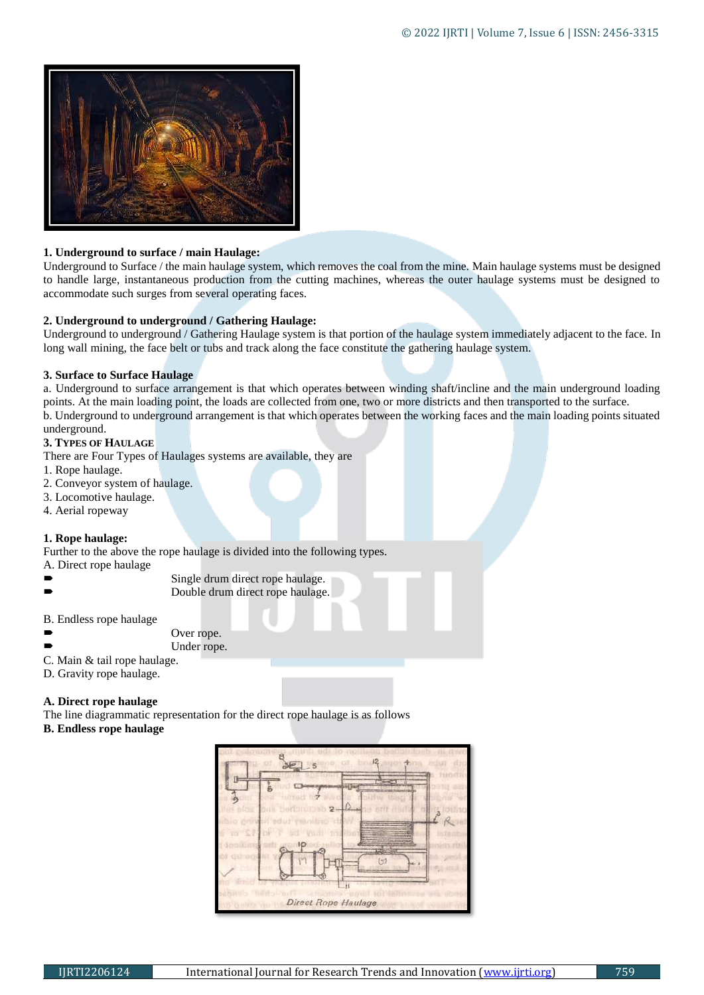

## **1. Underground to surface / main Haulage:**

Underground to Surface / the main haulage system, which removes the coal from the mine. Main haulage systems must be designed to handle large, instantaneous production from the cutting machines, whereas the outer haulage systems must be designed to accommodate such surges from several operating faces.

## **2. Underground to underground / Gathering Haulage:**

Underground to underground / Gathering Haulage system is that portion of the haulage system immediately adjacent to the face. In long wall mining, the face belt or tubs and track along the face constitute the gathering haulage system.

## **3. Surface to Surface Haulage**

a. Underground to surface arrangement is that which operates between winding shaft/incline and the main underground loading points. At the main loading point, the loads are collected from one, two or more districts and then transported to the surface. b. Underground to underground arrangement is that which operates between the working faces and the main loading points situated underground.

## **3. TYPES OF HAULAGE**

There are Four Types of Haulages systems are available, they are

- 1. Rope haulage.
- 2. Conveyor system of haulage.
- 3. Locomotive haulage.
- 4. Aerial ropeway

# **1. Rope haulage:**

Further to the above the rope haulage is divided into the following types.

- A. Direct rope haulage
- Single drum direct rope haulage. Double drum direct rope haulage.
- B. Endless rope haulage

Over rope.

Under rope.

- C. Main & tail rope haulage.
- D. Gravity rope haulage.

# **A. Direct rope haulage**

The line diagrammatic representation for the direct rope haulage is as follows

**B. Endless rope haulage**

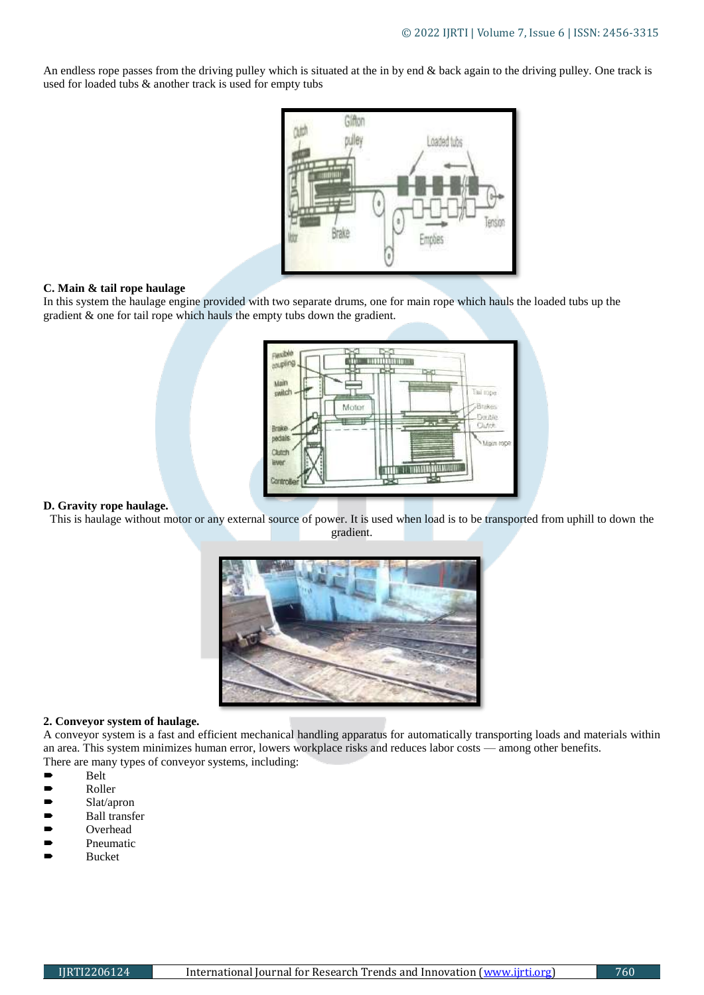An endless rope passes from the driving pulley which is situated at the in by end & back again to the driving pulley. One track is used for loaded tubs & another track is used for empty tubs



## **C. Main & tail rope haulage**

In this system the haulage engine provided with two separate drums, one for main rope which hauls the loaded tubs up the gradient & one for tail rope which hauls the empty tubs down the gradient.



#### **D. Gravity rope haulage.**

This is haulage without motor or any external source of power. It is used when load is to be transported from uphill to down the gradient.



#### **2. Conveyor system of haulage.**

A conveyor system is a fast and efficient mechanical handling apparatus for automatically transporting loads and materials within an area. This system minimizes human error, lowers workplace risks and reduces labor costs — among other benefits. There are many types of conveyor systems, including:

- Belt
- Roller
- $\blacktriangleright$  Slat/apron
- **Ball transfer**
- Overhead
- **P**neumatic
- Bucket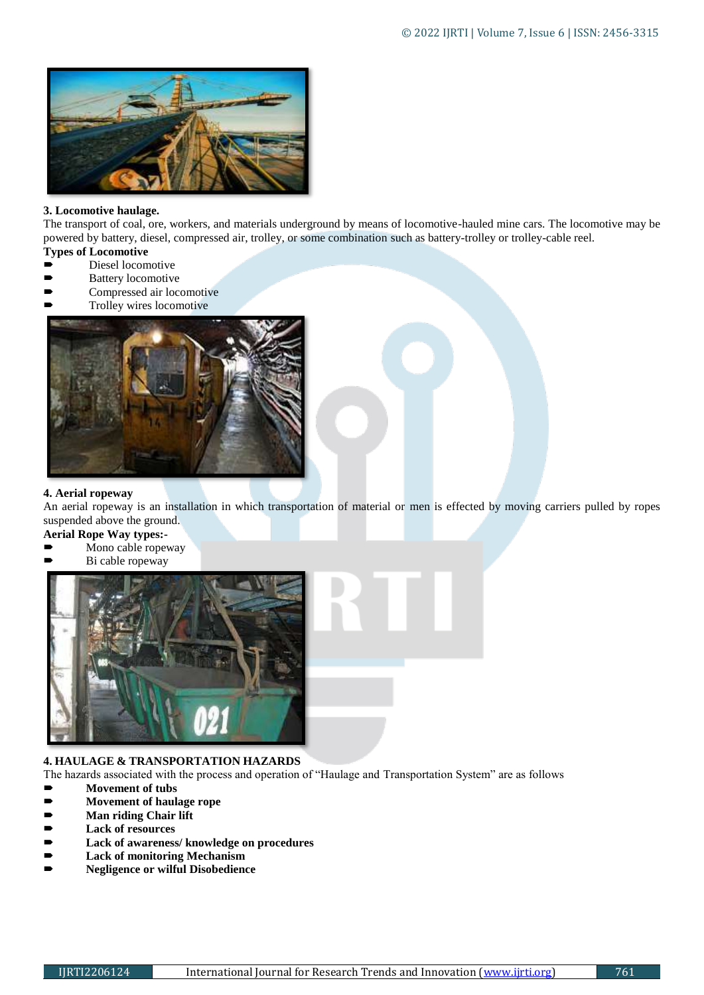

## **3. Locomotive haulage.**

The transport of coal, ore, workers, and materials underground by means of locomotive-hauled mine cars. The locomotive may be powered by battery, diesel, compressed air, trolley, or some combination such as battery-trolley or trolley-cable reel.

- **Types of Locomotive**
- Diesel locomotive
- Battery locomotive
- Compressed air locomotive
- Trolley wires locomotive



## **4. Aerial ropeway**

An aerial ropeway is an installation in which transportation of material or men is effected by moving carriers pulled by ropes suspended above the ground.

- **Aerial Rope Way types:-**
- Mono cable ropeway
- Bi cable ropeway



# **4. HAULAGE & TRANSPORTATION HAZARDS**

The hazards associated with the process and operation of "Haulage and Transportation System" are as follows

- **Movement of tubs**
- **Movement of haulage rope**
- **Man riding Chair lift**
- **Lack of resources**
- **Lack of awareness/ knowledge on procedures**
- **Lack of monitoring Mechanism**
- **Negligence or wilful Disobedience**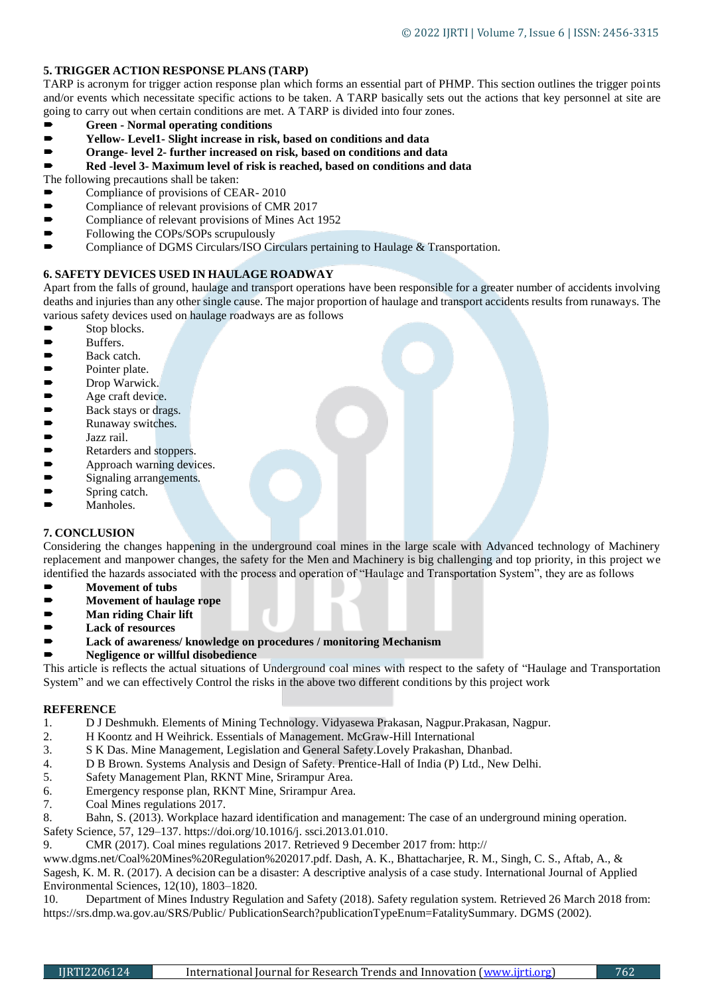## **5. TRIGGER ACTION RESPONSE PLANS (TARP)**

TARP is acronym for trigger action response plan which forms an essential part of PHMP. This section outlines the trigger points and/or events which necessitate specific actions to be taken. A TARP basically sets out the actions that key personnel at site are going to carry out when certain conditions are met. A TARP is divided into four zones.

- **Green - Normal operating conditions**
- **Yellow- Level1- Slight increase in risk, based on conditions and data**
- **Orange- level 2- further increased on risk, based on conditions and data**
- **Red -level 3- Maximum level of risk is reached, based on conditions and data**

The following precautions shall be taken:

- Compliance of provisions of CEAR- 2010
- Compliance of relevant provisions of CMR 2017
- Compliance of relevant provisions of Mines Act 1952
- Following the COPs/SOPs scrupulously
- Compliance of DGMS Circulars/ISO Circulars pertaining to Haulage & Transportation.

## **6. SAFETY DEVICES USED IN HAULAGE ROADWAY**

Apart from the falls of ground, haulage and transport operations have been responsible for a greater number of accidents involving deaths and injuries than any other single cause. The major proportion of haulage and transport accidents results from runaways. The various safety devices used on haulage roadways are as follows

- Stop blocks.
- Buffers.<br>■ Back ca
- Back catch.
- Pointer plate.
- 
- Drop Warwick.<br>■ Age craft devic<br>■ Back stays or d Age craft device.
- Back stays or drags.<br>■ Runaway switches.
- Runaway switches.<br>■ Jazz rail.
- Jazz rail.<br>■ Retarders
- Retarders and stoppers.<br>• Approach warning devi
- Approach warning devices.<br>• Signaling arrangements.
- Signaling arrangements.
- Spring catch.
- Manholes.

## **7. CONCLUSION**

Considering the changes happening in the underground coal mines in the large scale with Advanced technology of Machinery replacement and manpower changes, the safety for the Men and Machinery is big challenging and top priority, in this project we identified the hazards associated with the process and operation of "Haulage and Transportation System", they are as follows

- **Movement of tubs**
- **Movement of haulage rope**
- **Man riding Chair lift**
- **Lack of resources**
- **Lack of awareness/ knowledge on procedures / monitoring Mechanism**
- **Negligence or willful disobedience**

This article is reflects the actual situations of Underground coal mines with respect to the safety of "Haulage and Transportation System" and we can effectively Control the risks in the above two different conditions by this project work

# **REFERENCE**

- 1. D J Deshmukh. Elements of Mining Technology. Vidyasewa Prakasan, Nagpur.Prakasan, Nagpur.
- 2. H Koontz and H Weihrick. Essentials of Management. McGraw-Hill International
- 3. S K Das. Mine Management, Legislation and General Safety.Lovely Prakashan, Dhanbad.
- 4. D B Brown. Systems Analysis and Design of Safety. Prentice-Hall of India (P) Ltd., New Delhi.
- 5. Safety Management Plan, RKNT Mine, Srirampur Area.
- 6. Emergency response plan, RKNT Mine, Srirampur Area.
- 7. Coal Mines regulations 2017.
- 8. Bahn, S. (2013). Workplace hazard identification and management: The case of an underground mining operation.
- Safety Science, 57, 129–137. [https://doi.org/10.1016/j. ssci.2013.01.010.](https://doi.org/10.1016/j.%20ssci.2013.01.010)
- 9. CMR (2017). Coal mines regulations 2017. Retrieved 9 December 2017 from: http://

www.dgms.net/Coal%20Mines%20Regulation%202017.pdf. Dash, A. K., Bhattacharjee, R. M., Singh, C. S., Aftab, A., & Sagesh, K. M. R. (2017). A decision can be a disaster: A descriptive analysis of a case study. International Journal of Applied Environmental Sciences, 12(10), 1803–1820.

10. Department of Mines Industry Regulation and Safety (2018). Safety regulation system. Retrieved 26 March 2018 from: https://srs.dmp.wa.gov.au/SRS/Public/ PublicationSearch?publicationTypeEnum=FatalitySummary. DGMS (2002).